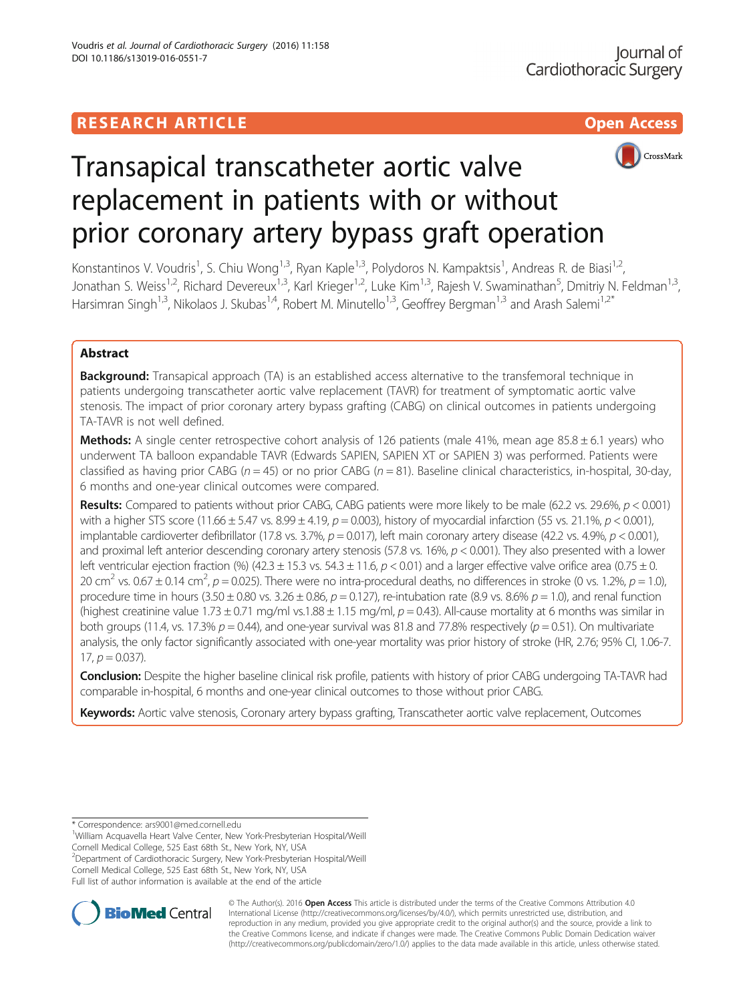

# Transapical transcatheter aortic valve replacement in patients with or without prior coronary artery bypass graft operation

Konstantinos V. Voudris<sup>1</sup>, S. Chiu Wong<sup>1,3</sup>, Ryan Kaple<sup>1,3</sup>, Polydoros N. Kampaktsis<sup>1</sup>, Andreas R. de Biasi<sup>1,2</sup>, Jonathan S. Weiss<sup>1,2</sup>, Richard Devereux<sup>1,3</sup>, Karl Krieger<sup>1,2</sup>, Luke Kim<sup>1,3</sup>, Rajesh V. Swaminathan<sup>5</sup>, Dmitriy N. Feldman<sup>1,3</sup>, Harsimran Singh<sup>1,3</sup>, Nikolaos J. Skubas<sup>1,4</sup>, Robert M. Minutello<sup>1,3</sup>, Geoffrey Bergman<sup>1,3</sup> and Arash Salemi<sup>1,2\*</sup>

# Abstract

**Background:** Transapical approach (TA) is an established access alternative to the transfemoral technique in patients undergoing transcatheter aortic valve replacement (TAVR) for treatment of symptomatic aortic valve stenosis. The impact of prior coronary artery bypass grafting (CABG) on clinical outcomes in patients undergoing TA-TAVR is not well defined.

**Methods:** A single center retrospective cohort analysis of 126 patients (male 41%, mean age  $85.8 \pm 6.1$  years) who underwent TA balloon expandable TAVR (Edwards SAPIEN, SAPIEN XT or SAPIEN 3) was performed. Patients were classified as having prior CABG ( $n = 45$ ) or no prior CABG ( $n = 81$ ). Baseline clinical characteristics, in-hospital, 30-day, 6 months and one-year clinical outcomes were compared.

Results: Compared to patients without prior CABG, CABG patients were more likely to be male (62.2 vs. 29.6%,  $p < 0.001$ ) with a higher STS score (11.66  $\pm$  5.47 vs. 8.99  $\pm$  4.19,  $p = 0.003$ ), history of myocardial infarction (55 vs. 21.1%,  $p < 0.001$ ), implantable cardioverter defibrillator (17.8 vs. 3.7%,  $p = 0.017$ ), left main coronary artery disease (42.2 vs. 4.9%,  $p < 0.001$ ), and proximal left anterior descending coronary artery stenosis (57.8 vs. 16%,  $p < 0.001$ ). They also presented with a lower left ventricular ejection fraction (%) (42.3 ± 15.3 vs. 54.3 ± 11.6,  $p < 0.01$ ) and a larger effective valve orifice area (0.75 ± 0. 20 cm<sup>2</sup> vs. 0.67  $\pm$  0.14 cm<sup>2</sup>, p = 0.025). There were no intra-procedural deaths, no differences in stroke (0 vs. 1.2%, p = 1.0), procedure time in hours  $(3.50 \pm 0.80 \text{ vs. } 3.26 \pm 0.86, p = 0.127)$ , re-intubation rate  $(8.9 \text{ vs. } 8.6\% p = 1.0)$ , and renal function (highest creatinine value 1.73  $\pm$  0.71 mg/ml vs.1.88  $\pm$  1.15 mg/ml, p = 0.43). All-cause mortality at 6 months was similar in both groups (11.4, vs. 17.3%  $p = 0.44$ ), and one-year survival was 81.8 and 77.8% respectively ( $p = 0.51$ ). On multivariate analysis, the only factor significantly associated with one-year mortality was prior history of stroke (HR, 2.76; 95% CI, 1.06-7. 17,  $p = 0.037$ ).

Conclusion: Despite the higher baseline clinical risk profile, patients with history of prior CABG undergoing TA-TAVR had comparable in-hospital, 6 months and one-year clinical outcomes to those without prior CABG.

Keywords: Aortic valve stenosis, Coronary artery bypass grafting, Transcatheter aortic valve replacement, Outcomes

2 Department of Cardiothoracic Surgery, New York-Presbyterian Hospital/Weill



© The Author(s). 2016 Open Access This article is distributed under the terms of the Creative Commons Attribution 4.0 International License [\(http://creativecommons.org/licenses/by/4.0/](http://creativecommons.org/licenses/by/4.0/)), which permits unrestricted use, distribution, and reproduction in any medium, provided you give appropriate credit to the original author(s) and the source, provide a link to the Creative Commons license, and indicate if changes were made. The Creative Commons Public Domain Dedication waiver [\(http://creativecommons.org/publicdomain/zero/1.0/](http://creativecommons.org/publicdomain/zero/1.0/)) applies to the data made available in this article, unless otherwise stated.

<sup>\*</sup> Correspondence: [ars9001@med.cornell.edu](mailto:ars9001@med.cornell.edu) <sup>1</sup>

William Acquavella Heart Valve Center, New York-Presbyterian Hospital/Weill Cornell Medical College, 525 East 68th St., New York, NY, USA

Cornell Medical College, 525 East 68th St., New York, NY, USA Full list of author information is available at the end of the article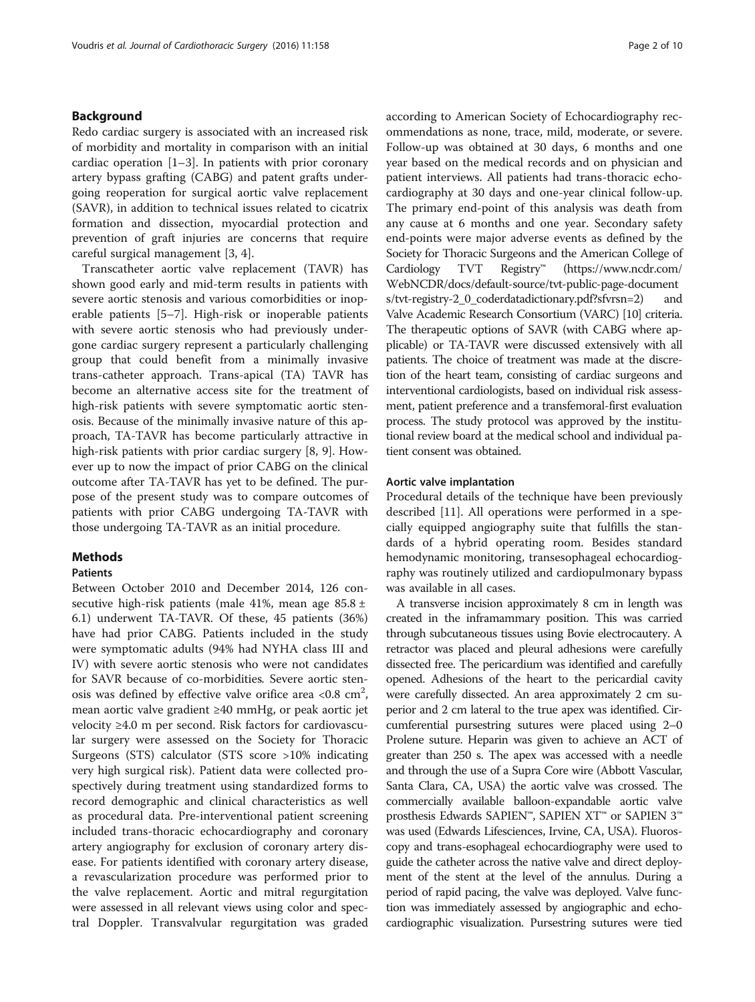## Background

Redo cardiac surgery is associated with an increased risk of morbidity and mortality in comparison with an initial cardiac operation  $[1-3]$  $[1-3]$  $[1-3]$  $[1-3]$ . In patients with prior coronary artery bypass grafting (CABG) and patent grafts undergoing reoperation for surgical aortic valve replacement (SAVR), in addition to technical issues related to cicatrix formation and dissection, myocardial protection and prevention of graft injuries are concerns that require careful surgical management [\[3](#page-8-0), [4](#page-8-0)].

Transcatheter aortic valve replacement (TAVR) has shown good early and mid-term results in patients with severe aortic stenosis and various comorbidities or inoperable patients [[5](#page-8-0)–[7](#page-8-0)]. High-risk or inoperable patients with severe aortic stenosis who had previously undergone cardiac surgery represent a particularly challenging group that could benefit from a minimally invasive trans-catheter approach. Trans-apical (TA) TAVR has become an alternative access site for the treatment of high-risk patients with severe symptomatic aortic stenosis. Because of the minimally invasive nature of this approach, TA-TAVR has become particularly attractive in high-risk patients with prior cardiac surgery [[8, 9](#page-8-0)]. However up to now the impact of prior CABG on the clinical outcome after TA-TAVR has yet to be defined. The purpose of the present study was to compare outcomes of patients with prior CABG undergoing TA-TAVR with those undergoing TA-TAVR as an initial procedure.

#### Methods

## Patients

Between October 2010 and December 2014, 126 consecutive high-risk patients (male 41%, mean age 85.8 ± 6.1) underwent TA-TAVR. Of these, 45 patients (36%) have had prior CABG. Patients included in the study were symptomatic adults (94% had NYHA class III and IV) with severe aortic stenosis who were not candidates for SAVR because of co-morbidities. Severe aortic stenosis was defined by effective valve orifice area <0.8  $\text{cm}^2$ , mean aortic valve gradient ≥40 mmHg, or peak aortic jet velocity ≥4.0 m per second. Risk factors for cardiovascular surgery were assessed on the Society for Thoracic Surgeons (STS) calculator (STS score >10% indicating very high surgical risk). Patient data were collected prospectively during treatment using standardized forms to record demographic and clinical characteristics as well as procedural data. Pre-interventional patient screening included trans-thoracic echocardiography and coronary artery angiography for exclusion of coronary artery disease. For patients identified with coronary artery disease, a revascularization procedure was performed prior to the valve replacement. Aortic and mitral regurgitation were assessed in all relevant views using color and spectral Doppler. Transvalvular regurgitation was graded according to American Society of Echocardiography recommendations as none, trace, mild, moderate, or severe. Follow-up was obtained at 30 days, 6 months and one year based on the medical records and on physician and patient interviews. All patients had trans-thoracic echocardiography at 30 days and one-year clinical follow-up. The primary end-point of this analysis was death from any cause at 6 months and one year. Secondary safety end-points were major adverse events as defined by the Society for Thoracic Surgeons and the American College of Cardiology TVT Registry™ [\(https://www.ncdr.com/](https://www.ncdr.com/WebNCDR/docs/default-source/tvt-public-page-documents/tvt-registry-2_0_coderdatadictionary.pdf?sfvrsn=2) [WebNCDR/docs/default-source/tvt-public-page-document](https://www.ncdr.com/WebNCDR/docs/default-source/tvt-public-page-documents/tvt-registry-2_0_coderdatadictionary.pdf?sfvrsn=2) [s/tvt-registry-2\\_0\\_coderdatadictionary.pdf?sfvrsn=2\)](https://www.ncdr.com/WebNCDR/docs/default-source/tvt-public-page-documents/tvt-registry-2_0_coderdatadictionary.pdf?sfvrsn=2) and Valve Academic Research Consortium (VARC) [\[10](#page-8-0)] criteria. The therapeutic options of SAVR (with CABG where applicable) or TA-TAVR were discussed extensively with all patients. The choice of treatment was made at the discretion of the heart team, consisting of cardiac surgeons and interventional cardiologists, based on individual risk assessment, patient preference and a transfemoral-first evaluation process. The study protocol was approved by the institutional review board at the medical school and individual patient consent was obtained.

## Aortic valve implantation

Procedural details of the technique have been previously described [\[11](#page-8-0)]. All operations were performed in a specially equipped angiography suite that fulfills the standards of a hybrid operating room. Besides standard hemodynamic monitoring, transesophageal echocardiography was routinely utilized and cardiopulmonary bypass was available in all cases.

A transverse incision approximately 8 cm in length was created in the inframammary position. This was carried through subcutaneous tissues using Bovie electrocautery. A retractor was placed and pleural adhesions were carefully dissected free. The pericardium was identified and carefully opened. Adhesions of the heart to the pericardial cavity were carefully dissected. An area approximately 2 cm superior and 2 cm lateral to the true apex was identified. Circumferential pursestring sutures were placed using 2–0 Prolene suture. Heparin was given to achieve an ACT of greater than 250 s. The apex was accessed with a needle and through the use of a Supra Core wire (Abbott Vascular, Santa Clara, CA, USA) the aortic valve was crossed. The commercially available balloon-expandable aortic valve prosthesis Edwards SAPIEN™, SAPIEN XT™ or SAPIEN 3™ was used (Edwards Lifesciences, Irvine, CA, USA). Fluoroscopy and trans-esophageal echocardiography were used to guide the catheter across the native valve and direct deployment of the stent at the level of the annulus. During a period of rapid pacing, the valve was deployed. Valve function was immediately assessed by angiographic and echocardiographic visualization. Pursestring sutures were tied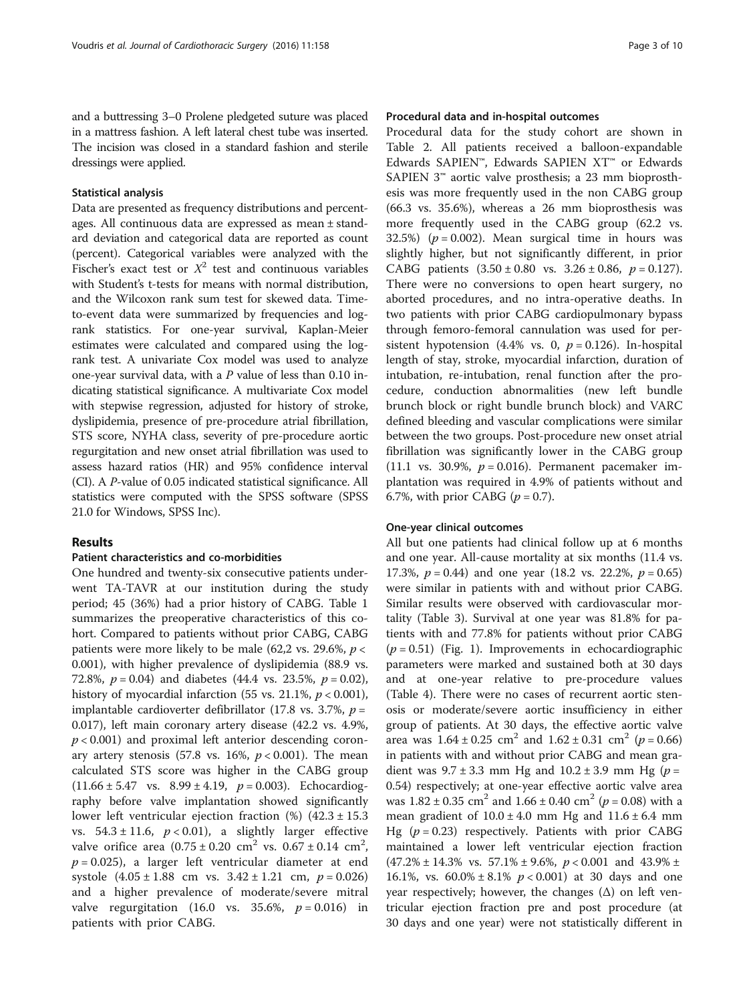and a buttressing 3–0 Prolene pledgeted suture was placed in a mattress fashion. A left lateral chest tube was inserted. The incision was closed in a standard fashion and sterile dressings were applied.

### Statistical analysis

Data are presented as frequency distributions and percentages. All continuous data are expressed as mean ± standard deviation and categorical data are reported as count (percent). Categorical variables were analyzed with the Fischer's exact test or  $X^2$  test and continuous variables with Student's t-tests for means with normal distribution, and the Wilcoxon rank sum test for skewed data. Timeto-event data were summarized by frequencies and logrank statistics. For one-year survival, Kaplan-Meier estimates were calculated and compared using the logrank test. A univariate Cox model was used to analyze one-year survival data, with a P value of less than 0.10 indicating statistical significance. A multivariate Cox model with stepwise regression, adjusted for history of stroke, dyslipidemia, presence of pre-procedure atrial fibrillation, STS score, NYHA class, severity of pre-procedure aortic regurgitation and new onset atrial fibrillation was used to assess hazard ratios (HR) and 95% confidence interval (CI). A P-value of 0.05 indicated statistical significance. All statistics were computed with the SPSS software (SPSS 21.0 for Windows, SPSS Inc).

## Results

#### Patient characteristics and co-morbidities

One hundred and twenty-six consecutive patients underwent TA-TAVR at our institution during the study period; 45 (36%) had a prior history of CABG. Table [1](#page-3-0) summarizes the preoperative characteristics of this cohort. Compared to patients without prior CABG, CABG patients were more likely to be male (62,2 vs. 29.6%,  $p <$ 0.001), with higher prevalence of dyslipidemia (88.9 vs. 72.8%,  $p = 0.04$ ) and diabetes (44.4 vs. 23.5%,  $p = 0.02$ ), history of myocardial infarction (55 vs. 21.1%,  $p < 0.001$ ), implantable cardioverter defibrillator (17.8 vs. 3.7%,  $p =$ 0.017), left main coronary artery disease (42.2 vs. 4.9%,  $p < 0.001$ ) and proximal left anterior descending coronary artery stenosis (57.8 vs. 16%,  $p < 0.001$ ). The mean calculated STS score was higher in the CABG group  $(11.66 \pm 5.47 \text{ vs. } 8.99 \pm 4.19, p = 0.003)$ . Echocardiography before valve implantation showed significantly lower left ventricular ejection fraction  $(\%)$   $(42.3 \pm 15.3)$ vs.  $54.3 \pm 11.6$ ,  $p < 0.01$ ), a slightly larger effective valve orifice area  $(0.75 \pm 0.20 \text{ cm}^2 \text{ vs. } 0.67 \pm 0.14 \text{ cm}^2)$  $p = 0.025$ ), a larger left ventricular diameter at end systole  $(4.05 \pm 1.88 \text{ cm} \text{ vs. } 3.42 \pm 1.21 \text{ cm}, p = 0.026)$ and a higher prevalence of moderate/severe mitral valve regurgitation (16.0 vs. 35.6%,  $p = 0.016$ ) in patients with prior CABG.

## Procedural data and in-hospital outcomes

Procedural data for the study cohort are shown in Table [2.](#page-4-0) All patients received a balloon-expandable Edwards SAPIEN™, Edwards SAPIEN XT™ or Edwards SAPIEN 3™ aortic valve prosthesis; a 23 mm bioprosthesis was more frequently used in the non CABG group (66.3 vs. 35.6%), whereas a 26 mm bioprosthesis was more frequently used in the CABG group (62.2 vs. 32.5%) ( $p = 0.002$ ). Mean surgical time in hours was slightly higher, but not significantly different, in prior CABG patients  $(3.50 \pm 0.80 \text{ vs. } 3.26 \pm 0.86, p = 0.127)$ . There were no conversions to open heart surgery, no aborted procedures, and no intra-operative deaths. In two patients with prior CABG cardiopulmonary bypass through femoro-femoral cannulation was used for persistent hypotension (4.4% vs. 0,  $p = 0.126$ ). In-hospital length of stay, stroke, myocardial infarction, duration of intubation, re-intubation, renal function after the procedure, conduction abnormalities (new left bundle brunch block or right bundle brunch block) and VARC defined bleeding and vascular complications were similar between the two groups. Post-procedure new onset atrial fibrillation was significantly lower in the CABG group (11.1 vs. 30.9%,  $p = 0.016$ ). Permanent pacemaker implantation was required in 4.9% of patients without and 6.7%, with prior CABG  $(p = 0.7)$ .

#### One-year clinical outcomes

All but one patients had clinical follow up at 6 months and one year. All-cause mortality at six months (11.4 vs. 17.3%,  $p = 0.44$ ) and one year (18.2 vs. 22.2%,  $p = 0.65$ ) were similar in patients with and without prior CABG. Similar results were observed with cardiovascular mortality (Table [3\)](#page-5-0). Survival at one year was 81.8% for patients with and 77.8% for patients without prior CABG  $(p = 0.51)$  (Fig. [1\)](#page-5-0). Improvements in echocardiographic parameters were marked and sustained both at 30 days and at one-year relative to pre-procedure values (Table [4\)](#page-6-0). There were no cases of recurrent aortic stenosis or moderate/severe aortic insufficiency in either group of patients. At 30 days, the effective aortic valve area was  $1.64 \pm 0.25$  cm<sup>2</sup> and  $1.62 \pm 0.31$  cm<sup>2</sup> (p = 0.66) in patients with and without prior CABG and mean gradient was  $9.7 \pm 3.3$  mm Hg and  $10.2 \pm 3.9$  mm Hg ( $p =$ 0.54) respectively; at one-year effective aortic valve area was  $1.82 \pm 0.35$  cm<sup>2</sup> and  $1.66 \pm 0.40$  cm<sup>2</sup> ( $p = 0.08$ ) with a mean gradient of  $10.0 \pm 4.0$  mm Hg and  $11.6 \pm 6.4$  mm Hg ( $p = 0.23$ ) respectively. Patients with prior CABG maintained a lower left ventricular ejection fraction  $(47.2\% \pm 14.3\% \text{ vs. } 57.1\% \pm 9.6\%, p < 0.001 \text{ and } 43.9\% \pm$ 16.1%, vs.  $60.0\% \pm 8.1\%$   $p < 0.001$ ) at 30 days and one year respectively; however, the changes  $(\Delta)$  on left ventricular ejection fraction pre and post procedure (at 30 days and one year) were not statistically different in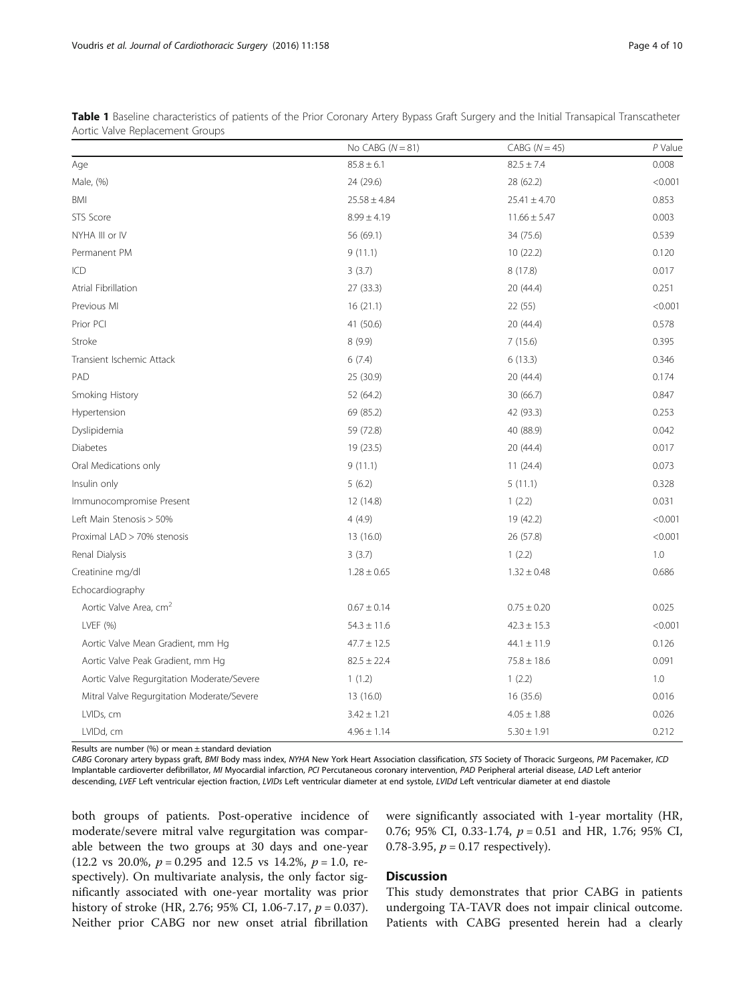|                                            | No CABG $(N = 81)$ | $CABG (N = 45)$  | $P$ Value |
|--------------------------------------------|--------------------|------------------|-----------|
| Age                                        | $85.8 \pm 6.1$     | $82.5 \pm 7.4$   | 0.008     |
| Male, (%)                                  | 24 (29.6)          | 28 (62.2)        | < 0.001   |
| BMI                                        | $25.58 \pm 4.84$   | $25.41 \pm 4.70$ | 0.853     |
| STS Score                                  | $8.99 \pm 4.19$    | $11.66 \pm 5.47$ | 0.003     |
| NYHA III or IV                             | 56 (69.1)          | 34 (75.6)        | 0.539     |
| Permanent PM                               | 9(11.1)            | 10(22.2)         | 0.120     |
| ICD                                        | 3(3.7)             | 8(17.8)          | 0.017     |
| Atrial Fibrillation                        | 27 (33.3)          | 20 (44.4)        | 0.251     |
| Previous MI                                | 16(21.1)           | 22 (55)          | < 0.001   |
| Prior PCI                                  | 41 (50.6)          | 20 (44.4)        | 0.578     |
| Stroke                                     | 8 (9.9)            | 7(15.6)          | 0.395     |
| Transient Ischemic Attack                  | 6(7.4)             | 6(13.3)          | 0.346     |
| PAD                                        | 25 (30.9)          | 20 (44.4)        | 0.174     |
| Smoking History                            | 52 (64.2)          | 30 (66.7)        | 0.847     |
| Hypertension                               | 69 (85.2)          | 42 (93.3)        | 0.253     |
| Dyslipidemia                               | 59 (72.8)          | 40 (88.9)        | 0.042     |
| <b>Diabetes</b>                            | 19 (23.5)          | 20 (44.4)        | 0.017     |
| Oral Medications only                      | 9(11.1)            | 11(24.4)         | 0.073     |
| Insulin only                               | 5(6.2)             | 5(11.1)          | 0.328     |
| Immunocompromise Present                   | 12 (14.8)          | 1(2.2)           | 0.031     |
| Left Main Stenosis > 50%                   | 4(4.9)             | 19 (42.2)        | < 0.001   |
| Proximal LAD > 70% stenosis                | 13 (16.0)          | 26 (57.8)        | < 0.001   |
| Renal Dialysis                             | 3(3.7)             | 1(2.2)           | 1.0       |
| Creatinine mg/dl                           | $1.28 \pm 0.65$    | $1.32 \pm 0.48$  | 0.686     |
| Echocardiography                           |                    |                  |           |
| Aortic Valve Area, cm <sup>2</sup>         | $0.67 \pm 0.14$    | $0.75 \pm 0.20$  | 0.025     |
| LVEF (%)                                   | $54.3 \pm 11.6$    | $42.3 \pm 15.3$  | < 0.001   |
| Aortic Valve Mean Gradient, mm Hg          | $47.7 \pm 12.5$    | $44.1 \pm 11.9$  | 0.126     |
| Aortic Valve Peak Gradient, mm Hg          | $82.5 \pm 22.4$    | $75.8 \pm 18.6$  | 0.091     |
| Aortic Valve Regurgitation Moderate/Severe | 1(1.2)             | 1(2.2)           | 1.0       |
| Mitral Valve Regurgitation Moderate/Severe | 13 (16.0)          | 16 (35.6)        | 0.016     |
| LVIDs, cm                                  | $3.42 \pm 1.21$    | $4.05 \pm 1.88$  | 0.026     |
| LVIDd, cm                                  | $4.96 \pm 1.14$    | $5.30 \pm 1.91$  | 0.212     |

<span id="page-3-0"></span>Table 1 Baseline characteristics of patients of the Prior Coronary Artery Bypass Graft Surgery and the Initial Transapical Transcatheter Aortic Valve Replacement Groups

Results are number  $(%)$  or mean  $±$  standard deviation

CABG Coronary artery bypass graft, BMI Body mass index, NYHA New York Heart Association classification, STS Society of Thoracic Surgeons, PM Pacemaker, ICD Implantable cardioverter defibrillator, MI Myocardial infarction, PCI Percutaneous coronary intervention, PAD Peripheral arterial disease, LAD Left anterior descending, LVEF Left ventricular ejection fraction, LVIDs Left ventricular diameter at end systole, LVIDd Left ventricular diameter at end diastole

both groups of patients. Post-operative incidence of moderate/severe mitral valve regurgitation was comparable between the two groups at 30 days and one-year (12.2 vs 20.0%,  $p = 0.295$  and 12.5 vs 14.2%,  $p = 1.0$ , respectively). On multivariate analysis, the only factor significantly associated with one-year mortality was prior history of stroke (HR, 2.76; 95% CI, 1.06-7.17,  $p = 0.037$ ). Neither prior CABG nor new onset atrial fibrillation

were significantly associated with 1-year mortality (HR, 0.76; 95% CI, 0.33-1.74, p = 0.51 and HR, 1.76; 95% CI, 0.78-3.95,  $p = 0.17$  respectively).

## **Discussion**

This study demonstrates that prior CABG in patients undergoing TA-TAVR does not impair clinical outcome. Patients with CABG presented herein had a clearly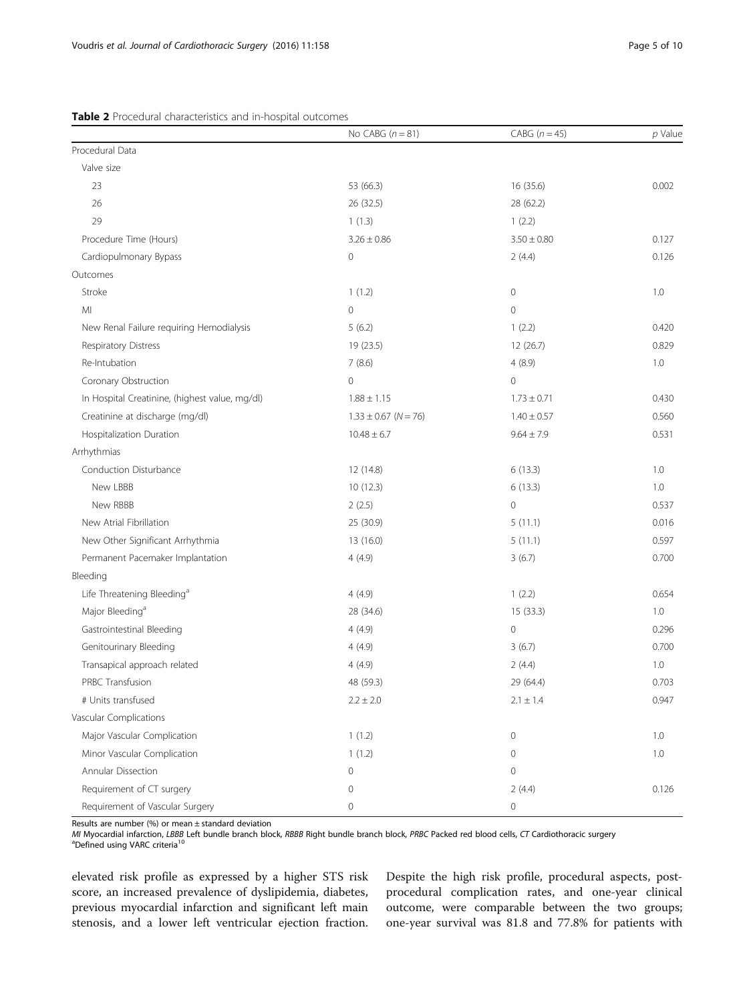<span id="page-4-0"></span>

|                                                | No CABG $(n = 81)$       | CABG $(n=45)$       | $p$ Value |
|------------------------------------------------|--------------------------|---------------------|-----------|
| Procedural Data                                |                          |                     |           |
| Valve size                                     |                          |                     |           |
| 23                                             | 53 (66.3)                | 16 (35.6)           | 0.002     |
| 26                                             | 26 (32.5)                | 28 (62.2)           |           |
| 29                                             | 1(1.3)                   | 1(2.2)              |           |
| Procedure Time (Hours)                         | $3.26 \pm 0.86$          | $3.50 \pm 0.80$     | 0.127     |
| Cardiopulmonary Bypass                         | $\circ$                  | 2(4.4)              | 0.126     |
| Outcomes                                       |                          |                     |           |
| Stroke                                         | 1(1.2)                   | $\mathbf 0$         | 1.0       |
| MI                                             | $\circ$                  | $\mathbf 0$         |           |
| New Renal Failure requiring Hemodialysis       | 5(6.2)                   | 1(2.2)              | 0.420     |
| Respiratory Distress                           | 19 (23.5)                | 12(26.7)            | 0.829     |
| Re-Intubation                                  | 7(8.6)                   | 4(8.9)              | 1.0       |
| Coronary Obstruction                           | $\mathsf{O}\xspace$      | $\mathbf 0$         |           |
| In Hospital Creatinine, (highest value, mg/dl) | $1.88 \pm 1.15$          | $1.73 \pm 0.71$     | 0.430     |
| Creatinine at discharge (mg/dl)                | $1.33 \pm 0.67$ (N = 76) | $1.40 \pm 0.57$     | 0.560     |
| Hospitalization Duration                       | $10.48 \pm 6.7$          | $9.64 \pm 7.9$      | 0.531     |
| Arrhythmias                                    |                          |                     |           |
| Conduction Disturbance                         | 12 (14.8)                | 6(13.3)             | 1.0       |
| New LBBB                                       | 10(12.3)                 | 6(13.3)             | 1.0       |
| New RBBB                                       | 2(2.5)                   | $\mathbf 0$         | 0.537     |
| New Atrial Fibrillation                        | 25 (30.9)                | 5(11.1)             | 0.016     |
| New Other Significant Arrhythmia               | 13 (16.0)                | 5(11.1)             | 0.597     |
| Permanent Pacemaker Implantation               | 4(4.9)                   | 3(6.7)              | 0.700     |
| Bleeding                                       |                          |                     |           |
| Life Threatening Bleeding <sup>a</sup>         | 4(4.9)                   | 1(2.2)              | 0.654     |
| Major Bleeding <sup>a</sup>                    | 28 (34.6)                | 15 (33.3)           | 1.0       |
| Gastrointestinal Bleeding                      | 4(4.9)                   | $\mathbf 0$         | 0.296     |
| Genitourinary Bleeding                         | 4(4.9)                   | 3(6.7)              | 0.700     |
| Transapical approach related                   | 4(4.9)                   | 2(4.4)              | 1.0       |
| PRBC Transfusion                               | 48 (59.3)                | 29 (64.4)           | 0.703     |
| # Units transfused                             | $2.2 \pm 2.0$            | $2.1 \pm 1.4$       | 0.947     |
| Vascular Complications                         |                          |                     |           |
| Major Vascular Complication                    | 1(1.2)                   | $\mathsf{O}\xspace$ | 1.0       |
| Minor Vascular Complication                    | 1(1.2)                   | $\mathsf{O}\xspace$ | 1.0       |
| Annular Dissection                             | 0                        | $\mathsf{O}\xspace$ |           |
| Requirement of CT surgery                      | $\mathsf{O}\xspace$      | 2(4.4)              | 0.126     |
| Requirement of Vascular Surgery                | 0                        | 0                   |           |

Results are number (%) or mean  $\pm$  standard deviation

MI Myocardial infarction, LBBB Left bundle branch block, RBBB Right bundle branch block, PRBC Packed red blood cells, CT Cardiothoracic surgery <sup>a</sup>Defined using VARC criteria<sup>10</sup>

elevated risk profile as expressed by a higher STS risk score, an increased prevalence of dyslipidemia, diabetes, previous myocardial infarction and significant left main stenosis, and a lower left ventricular ejection fraction.

Despite the high risk profile, procedural aspects, postprocedural complication rates, and one-year clinical outcome, were comparable between the two groups; one-year survival was 81.8 and 77.8% for patients with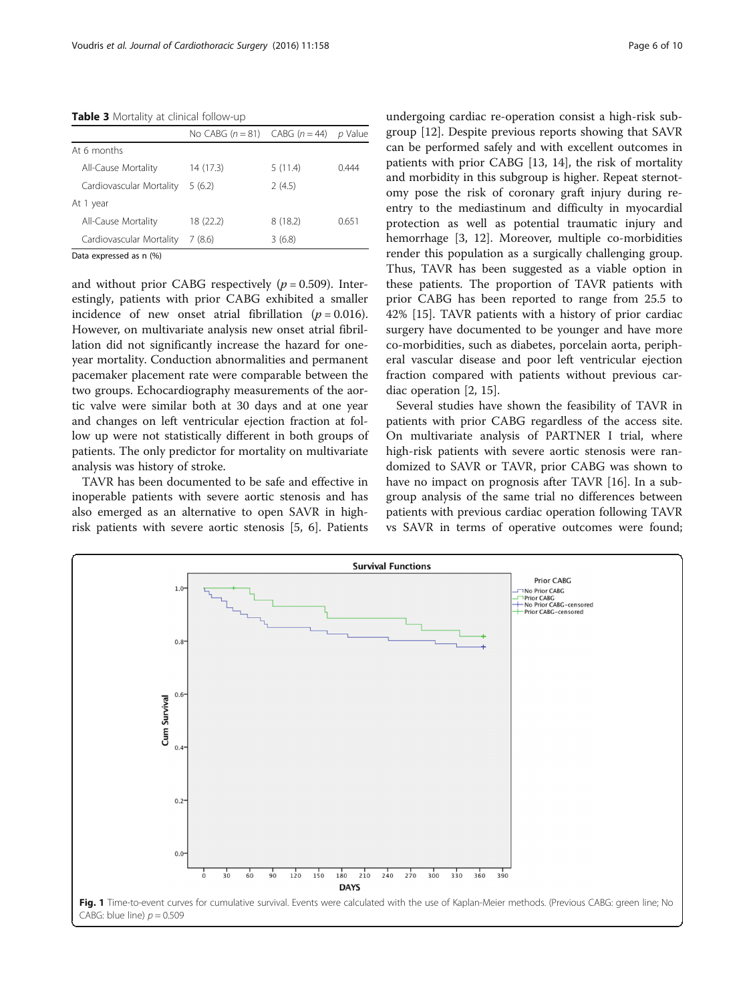<span id="page-5-0"></span>Table 3 Mortality at clinical follow-up

|                          | No CABG $(n = 81)$ CABG $(n = 44)$ |         | p Value |
|--------------------------|------------------------------------|---------|---------|
| At 6 months              |                                    |         |         |
| All-Cause Mortality      | 14 (17.3)                          | 5(11.4) | 0444    |
| Cardiovascular Mortality | 5(6.2)                             | 2(4.5)  |         |
| At 1 year                |                                    |         |         |
| All-Cause Mortality      | 18 (22.2)                          | 8(18.2) | 0.651   |
| Cardiovascular Mortality | 7(8.6)                             | 3(6.8)  |         |
| Data expressed as n (%)  |                                    |         |         |

Data expressed as n (%)

and without prior CABG respectively ( $p = 0.509$ ). Interestingly, patients with prior CABG exhibited a smaller incidence of new onset atrial fibrillation ( $p = 0.016$ ). However, on multivariate analysis new onset atrial fibrillation did not significantly increase the hazard for oneyear mortality. Conduction abnormalities and permanent pacemaker placement rate were comparable between the two groups. Echocardiography measurements of the aortic valve were similar both at 30 days and at one year and changes on left ventricular ejection fraction at follow up were not statistically different in both groups of patients. The only predictor for mortality on multivariate analysis was history of stroke.

TAVR has been documented to be safe and effective in inoperable patients with severe aortic stenosis and has also emerged as an alternative to open SAVR in highrisk patients with severe aortic stenosis [[5, 6](#page-8-0)]. Patients undergoing cardiac re-operation consist a high-risk subgroup [\[12](#page-8-0)]. Despite previous reports showing that SAVR can be performed safely and with excellent outcomes in patients with prior CABG [[13, 14](#page-8-0)], the risk of mortality and morbidity in this subgroup is higher. Repeat sternotomy pose the risk of coronary graft injury during reentry to the mediastinum and difficulty in myocardial protection as well as potential traumatic injury and hemorrhage [[3, 12\]](#page-8-0). Moreover, multiple co-morbidities render this population as a surgically challenging group. Thus, TAVR has been suggested as a viable option in these patients. The proportion of TAVR patients with prior CABG has been reported to range from 25.5 to 42% [\[15](#page-8-0)]. TAVR patients with a history of prior cardiac surgery have documented to be younger and have more co-morbidities, such as diabetes, porcelain aorta, peripheral vascular disease and poor left ventricular ejection fraction compared with patients without previous cardiac operation [\[2](#page-8-0), [15](#page-8-0)].

Several studies have shown the feasibility of TAVR in patients with prior CABG regardless of the access site. On multivariate analysis of PARTNER I trial, where high-risk patients with severe aortic stenosis were randomized to SAVR or TAVR, prior CABG was shown to have no impact on prognosis after TAVR [\[16\]](#page-8-0). In a subgroup analysis of the same trial no differences between patients with previous cardiac operation following TAVR vs SAVR in terms of operative outcomes were found;

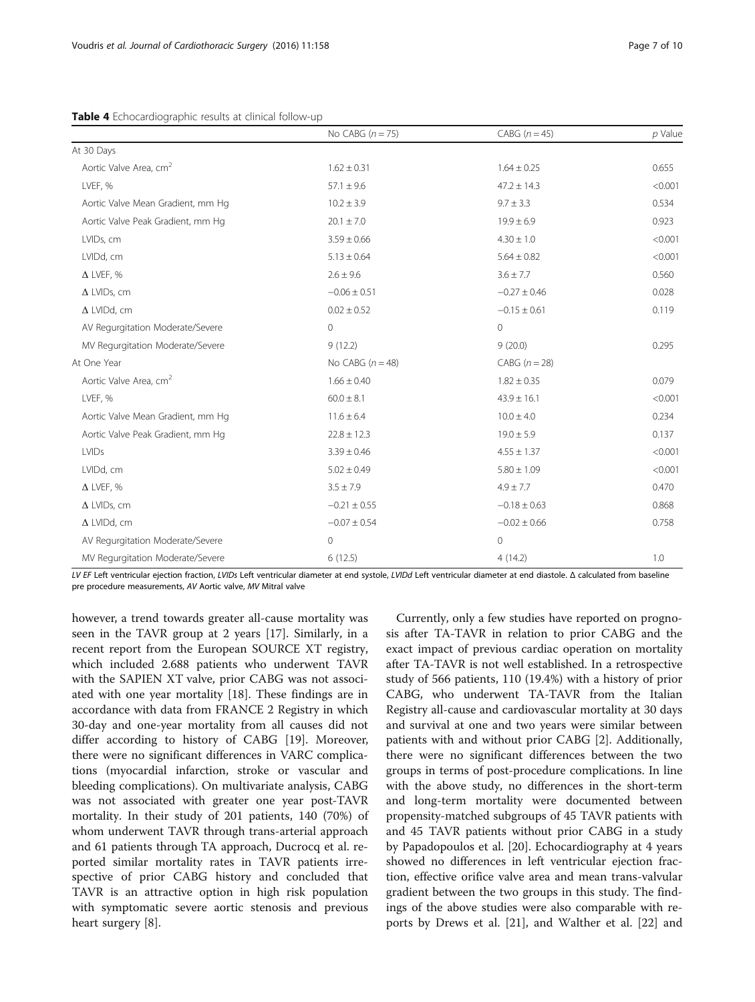<span id="page-6-0"></span>

|                                    | No CABG $(n = 75)$ | CABG $(n=45)$    | $p$ Value |
|------------------------------------|--------------------|------------------|-----------|
| At 30 Days                         |                    |                  |           |
| Aortic Valve Area, cm <sup>2</sup> | $1.62 \pm 0.31$    | $1.64 \pm 0.25$  | 0.655     |
| LVEF, %                            | $57.1 \pm 9.6$     | $47.2 \pm 14.3$  | < 0.001   |
| Aortic Valve Mean Gradient, mm Hg  | $10.2 \pm 3.9$     | $9.7 \pm 3.3$    | 0.534     |
| Aortic Valve Peak Gradient, mm Hg  | $20.1 \pm 7.0$     | $19.9 \pm 6.9$   | 0.923     |
| LVIDs, cm                          | $3.59 \pm 0.66$    | $4.30 \pm 1.0$   | < 0.001   |
| LVIDd, cm                          | $5.13 \pm 0.64$    | $5.64 \pm 0.82$  | < 0.001   |
| $\Delta$ LVEF, %                   | $2.6 \pm 9.6$      | $3.6 \pm 7.7$    | 0.560     |
| $\Delta$ LVIDs, cm                 | $-0.06 \pm 0.51$   | $-0.27 \pm 0.46$ | 0.028     |
| $\Delta$ LVIDd, cm                 | $0.02 \pm 0.52$    | $-0.15 \pm 0.61$ | 0.119     |
| AV Regurgitation Moderate/Severe   | $\mathbf 0$        | $\circ$          |           |
| MV Regurgitation Moderate/Severe   | 9(12.2)            | 9(20.0)          | 0.295     |
| At One Year                        | No CABG $(n = 48)$ | CABG $(n=28)$    |           |
| Aortic Valve Area, cm <sup>2</sup> | $1.66 \pm 0.40$    | $1.82 \pm 0.35$  | 0.079     |
| LVEF, %                            | $60.0 \pm 8.1$     | $43.9 \pm 16.1$  | < 0.001   |
| Aortic Valve Mean Gradient, mm Hg  | $11.6 \pm 6.4$     | $10.0 \pm 4.0$   | 0.234     |
| Aortic Valve Peak Gradient, mm Hg  | $22.8 \pm 12.3$    | $19.0 \pm 5.9$   | 0.137     |
| <b>LVIDs</b>                       | $3.39 \pm 0.46$    | $4.55 \pm 1.37$  | < 0.001   |
| LVIDd, cm                          | $5.02 \pm 0.49$    | $5.80 \pm 1.09$  | < 0.001   |
| $\Delta$ LVEF, %                   | $3.5 \pm 7.9$      | $4.9 \pm 7.7$    | 0.470     |
| $\Delta$ LVIDs, cm                 | $-0.21 \pm 0.55$   | $-0.18 \pm 0.63$ | 0.868     |
| $\Delta$ LVIDd, cm                 | $-0.07 \pm 0.54$   | $-0.02 \pm 0.66$ | 0.758     |
| AV Regurgitation Moderate/Severe   | $\mathbf 0$        | $\circledcirc$   |           |
| MV Regurgitation Moderate/Severe   | 6(12.5)            | 4(14.2)          | 1.0       |

LV EF Left ventricular ejection fraction, LVIDs Left ventricular diameter at end systole, LVIDd Left ventricular diameter at end diastole. Δ calculated from baseline pre procedure measurements, AV Aortic valve, MV Mitral valve

however, a trend towards greater all-cause mortality was seen in the TAVR group at 2 years [[17\]](#page-8-0). Similarly, in a recent report from the European SOURCE XT registry, which included 2.688 patients who underwent TAVR with the SAPIEN XT valve, prior CABG was not associated with one year mortality [[18\]](#page-8-0). These findings are in accordance with data from FRANCE 2 Registry in which 30-day and one-year mortality from all causes did not differ according to history of CABG [\[19\]](#page-8-0). Moreover, there were no significant differences in VARC complications (myocardial infarction, stroke or vascular and bleeding complications). On multivariate analysis, CABG was not associated with greater one year post-TAVR mortality. In their study of 201 patients, 140 (70%) of whom underwent TAVR through trans-arterial approach and 61 patients through TA approach, Ducrocq et al. reported similar mortality rates in TAVR patients irrespective of prior CABG history and concluded that TAVR is an attractive option in high risk population with symptomatic severe aortic stenosis and previous heart surgery [[8\]](#page-8-0).

Currently, only a few studies have reported on prognosis after TA-TAVR in relation to prior CABG and the exact impact of previous cardiac operation on mortality after TA-TAVR is not well established. In a retrospective study of 566 patients, 110 (19.4%) with a history of prior CABG, who underwent TA-TAVR from the Italian Registry all-cause and cardiovascular mortality at 30 days and survival at one and two years were similar between patients with and without prior CABG [[2\]](#page-8-0). Additionally, there were no significant differences between the two groups in terms of post-procedure complications. In line with the above study, no differences in the short-term and long-term mortality were documented between propensity-matched subgroups of 45 TAVR patients with and 45 TAVR patients without prior CABG in a study by Papadopoulos et al. [[20\]](#page-8-0). Echocardiography at 4 years showed no differences in left ventricular ejection fraction, effective orifice valve area and mean trans-valvular gradient between the two groups in this study. The findings of the above studies were also comparable with reports by Drews et al. [[21\]](#page-8-0), and Walther et al. [\[22](#page-8-0)] and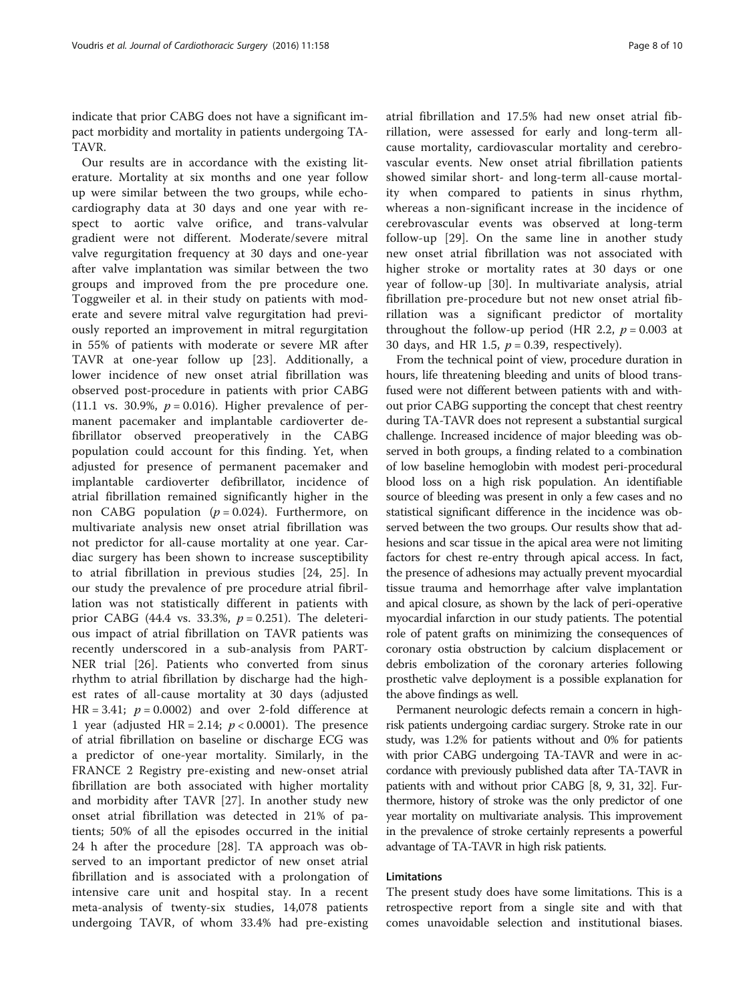indicate that prior CABG does not have a significant impact morbidity and mortality in patients undergoing TA-TAVR.

Our results are in accordance with the existing literature. Mortality at six months and one year follow up were similar between the two groups, while echocardiography data at 30 days and one year with respect to aortic valve orifice, and trans-valvular gradient were not different. Moderate/severe mitral valve regurgitation frequency at 30 days and one-year after valve implantation was similar between the two groups and improved from the pre procedure one. Toggweiler et al. in their study on patients with moderate and severe mitral valve regurgitation had previously reported an improvement in mitral regurgitation in 55% of patients with moderate or severe MR after TAVR at one-year follow up [\[23](#page-9-0)]. Additionally, a lower incidence of new onset atrial fibrillation was observed post-procedure in patients with prior CABG (11.1 vs. 30.9%,  $p = 0.016$ ). Higher prevalence of permanent pacemaker and implantable cardioverter defibrillator observed preoperatively in the CABG population could account for this finding. Yet, when adjusted for presence of permanent pacemaker and implantable cardioverter defibrillator, incidence of atrial fibrillation remained significantly higher in the non CABG population  $(p = 0.024)$ . Furthermore, on multivariate analysis new onset atrial fibrillation was not predictor for all-cause mortality at one year. Cardiac surgery has been shown to increase susceptibility to atrial fibrillation in previous studies [[24, 25](#page-9-0)]. In our study the prevalence of pre procedure atrial fibrillation was not statistically different in patients with prior CABG (44.4 vs. 33.3%,  $p = 0.251$ ). The deleterious impact of atrial fibrillation on TAVR patients was recently underscored in a sub-analysis from PART-NER trial [\[26](#page-9-0)]. Patients who converted from sinus rhythm to atrial fibrillation by discharge had the highest rates of all-cause mortality at 30 days (adjusted HR = 3.41;  $p = 0.0002$ ) and over 2-fold difference at 1 year (adjusted HR = 2.14;  $p < 0.0001$ ). The presence of atrial fibrillation on baseline or discharge ECG was a predictor of one-year mortality. Similarly, in the FRANCE 2 Registry pre-existing and new-onset atrial fibrillation are both associated with higher mortality and morbidity after TAVR [[27\]](#page-9-0). In another study new onset atrial fibrillation was detected in 21% of patients; 50% of all the episodes occurred in the initial 24 h after the procedure [\[28](#page-9-0)]. TA approach was observed to an important predictor of new onset atrial fibrillation and is associated with a prolongation of intensive care unit and hospital stay. In a recent meta-analysis of twenty-six studies, 14,078 patients undergoing TAVR, of whom 33.4% had pre-existing

atrial fibrillation and 17.5% had new onset atrial fibrillation, were assessed for early and long-term allcause mortality, cardiovascular mortality and cerebrovascular events. New onset atrial fibrillation patients showed similar short- and long-term all-cause mortality when compared to patients in sinus rhythm, whereas a non-significant increase in the incidence of cerebrovascular events was observed at long-term follow-up [\[29](#page-9-0)]. On the same line in another study new onset atrial fibrillation was not associated with higher stroke or mortality rates at 30 days or one year of follow-up [\[30](#page-9-0)]. In multivariate analysis, atrial fibrillation pre-procedure but not new onset atrial fibrillation was a significant predictor of mortality throughout the follow-up period (HR 2.2,  $p = 0.003$  at 30 days, and HR 1.5,  $p = 0.39$ , respectively).

From the technical point of view, procedure duration in hours, life threatening bleeding and units of blood transfused were not different between patients with and without prior CABG supporting the concept that chest reentry during TA-TAVR does not represent a substantial surgical challenge. Increased incidence of major bleeding was observed in both groups, a finding related to a combination of low baseline hemoglobin with modest peri-procedural blood loss on a high risk population. An identifiable source of bleeding was present in only a few cases and no statistical significant difference in the incidence was observed between the two groups. Our results show that adhesions and scar tissue in the apical area were not limiting factors for chest re-entry through apical access. In fact, the presence of adhesions may actually prevent myocardial tissue trauma and hemorrhage after valve implantation and apical closure, as shown by the lack of peri-operative myocardial infarction in our study patients. The potential role of patent grafts on minimizing the consequences of coronary ostia obstruction by calcium displacement or debris embolization of the coronary arteries following prosthetic valve deployment is a possible explanation for the above findings as well.

Permanent neurologic defects remain a concern in highrisk patients undergoing cardiac surgery. Stroke rate in our study, was 1.2% for patients without and 0% for patients with prior CABG undergoing TA-TAVR and were in accordance with previously published data after TA-TAVR in patients with and without prior CABG [[8](#page-8-0), [9,](#page-8-0) [31, 32](#page-9-0)]. Furthermore, history of stroke was the only predictor of one year mortality on multivariate analysis. This improvement in the prevalence of stroke certainly represents a powerful advantage of TA-TAVR in high risk patients.

## Limitations

The present study does have some limitations. This is a retrospective report from a single site and with that comes unavoidable selection and institutional biases.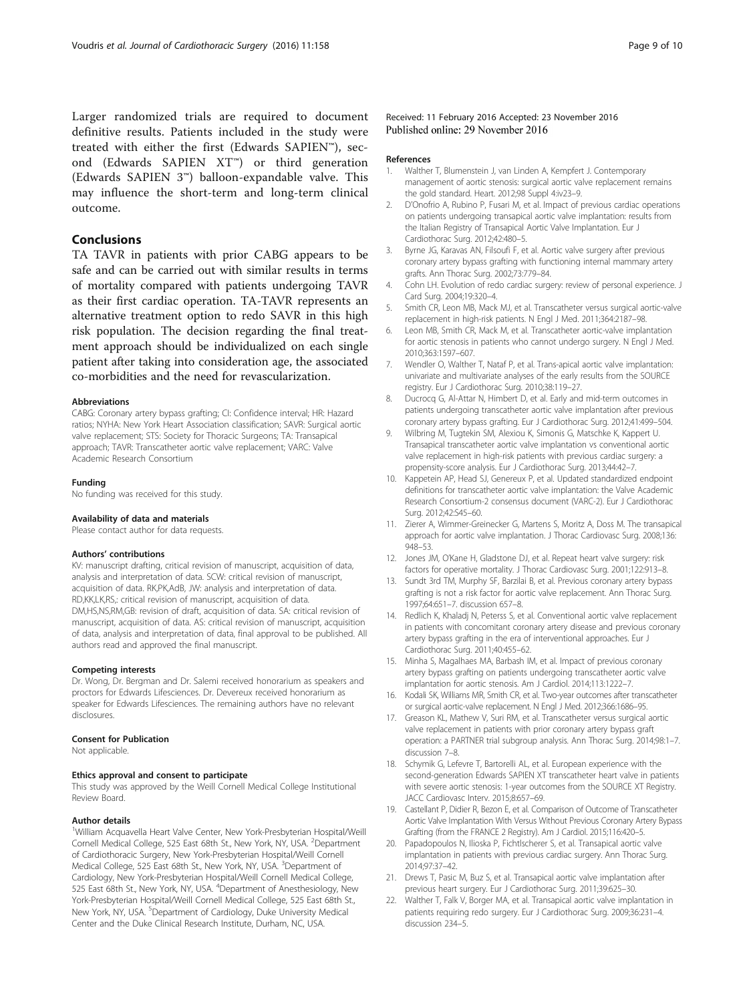<span id="page-8-0"></span>Larger randomized trials are required to document definitive results. Patients included in the study were treated with either the first (Edwards SAPIEN™), second (Edwards SAPIEN XT™) or third generation (Edwards SAPIEN 3™) balloon-expandable valve. This may influence the short-term and long-term clinical outcome.

## Conclusions

TA TAVR in patients with prior CABG appears to be safe and can be carried out with similar results in terms of mortality compared with patients undergoing TAVR as their first cardiac operation. TA-TAVR represents an alternative treatment option to redo SAVR in this high risk population. The decision regarding the final treatment approach should be individualized on each single patient after taking into consideration age, the associated co-morbidities and the need for revascularization.

#### Abbreviations

CABG: Coronary artery bypass grafting; CI: Confidence interval; HR: Hazard ratios; NYHA: New York Heart Association classification; SAVR: Surgical aortic valve replacement; STS: Society for Thoracic Surgeons; TA: Transapical approach; TAVR: Transcatheter aortic valve replacement; VARC: Valve Academic Research Consortium

#### Funding

No funding was received for this study.

#### Availability of data and materials

Please contact author for data requests.

#### Authors' contributions

KV: manuscript drafting, critical revision of manuscript, acquisition of data, analysis and interpretation of data. SCW: critical revision of manuscript, acquisition of data. RK,PK,AdB, JW: analysis and interpretation of data. RD,KK,LK,RS,: critical revision of manuscript, acquisition of data. DM,HS,NS,RM,GB: revision of draft, acquisition of data. SA: critical revision of manuscript, acquisition of data. AS: critical revision of manuscript, acquisition of data, analysis and interpretation of data, final approval to be published. All authors read and approved the final manuscript.

#### Competing interests

Dr. Wong, Dr. Bergman and Dr. Salemi received honorarium as speakers and proctors for Edwards Lifesciences. Dr. Devereux received honorarium as speaker for Edwards Lifesciences. The remaining authors have no relevant disclosures.

#### Consent for Publication

Not applicable

#### Ethics approval and consent to participate

This study was approved by the Weill Cornell Medical College Institutional Review Board.

#### Author details

<sup>1</sup>William Acquavella Heart Valve Center, New York-Presbyterian Hospital/Weill Cornell Medical College, 525 East 68th St., New York, NY, USA. <sup>2</sup>Department of Cardiothoracic Surgery, New York-Presbyterian Hospital/Weill Cornell Medical College, 525 East 68th St., New York, NY, USA. <sup>3</sup>Department of Cardiology, New York-Presbyterian Hospital/Weill Cornell Medical College, 525 East 68th St., New York, NY, USA. <sup>4</sup>Department of Anesthesiology, New York-Presbyterian Hospital/Weill Cornell Medical College, 525 East 68th St., New York, NY, USA. <sup>5</sup>Department of Cardiology, Duke University Medical Center and the Duke Clinical Research Institute, Durham, NC, USA.

#### Received: 11 February 2016 Accepted: 23 November 2016 Published online: 29 November 2016

#### References

- 1. Walther T, Blumenstein J, van Linden A, Kempfert J. Contemporary management of aortic stenosis: surgical aortic valve replacement remains the gold standard. Heart. 2012;98 Suppl 4:iv23–9.
- 2. D'Onofrio A, Rubino P, Fusari M, et al. Impact of previous cardiac operations on patients undergoing transapical aortic valve implantation: results from the Italian Registry of Transapical Aortic Valve Implantation. Eur J Cardiothorac Surg. 2012;42:480–5.
- 3. Byrne JG, Karavas AN, Filsoufi F, et al. Aortic valve surgery after previous coronary artery bypass grafting with functioning internal mammary artery grafts. Ann Thorac Surg. 2002;73:779–84.
- 4. Cohn LH. Evolution of redo cardiac surgery: review of personal experience. J Card Surg. 2004;19:320–4.
- 5. Smith CR, Leon MB, Mack MJ, et al. Transcatheter versus surgical aortic-valve replacement in high-risk patients. N Engl J Med. 2011;364:2187–98.
- 6. Leon MB, Smith CR, Mack M, et al. Transcatheter aortic-valve implantation for aortic stenosis in patients who cannot undergo surgery. N Engl J Med. 2010;363:1597–607.
- 7. Wendler O, Walther T, Nataf P, et al. Trans-apical aortic valve implantation: univariate and multivariate analyses of the early results from the SOURCE registry. Eur J Cardiothorac Surg. 2010;38:119–27.
- 8. Ducrocq G, Al-Attar N, Himbert D, et al. Farly and mid-term outcomes in patients undergoing transcatheter aortic valve implantation after previous coronary artery bypass grafting. Eur J Cardiothorac Surg. 2012;41:499–504.
- 9. Wilbring M, Tugtekin SM, Alexiou K, Simonis G, Matschke K, Kappert U. Transapical transcatheter aortic valve implantation vs conventional aortic valve replacement in high-risk patients with previous cardiac surgery: a propensity-score analysis. Eur J Cardiothorac Surg. 2013;44:42–7.
- 10. Kappetein AP, Head SJ, Genereux P, et al. Updated standardized endpoint definitions for transcatheter aortic valve implantation: the Valve Academic Research Consortium-2 consensus document (VARC-2). Eur J Cardiothorac Surg. 2012;42:S45–60.
- 11. Zierer A, Wimmer-Greinecker G, Martens S, Moritz A, Doss M. The transapical approach for aortic valve implantation. J Thorac Cardiovasc Surg. 2008;136: 948–53.
- 12. Jones JM, O'Kane H, Gladstone DJ, et al. Repeat heart valve surgery: risk factors for operative mortality. J Thorac Cardiovasc Surg. 2001;122:913–8.
- 13. Sundt 3rd TM, Murphy SF, Barzilai B, et al. Previous coronary artery bypass grafting is not a risk factor for aortic valve replacement. Ann Thorac Surg. 1997;64:651–7. discussion 657–8.
- 14. Redlich K, Khaladj N, Peterss S, et al. Conventional aortic valve replacement in patients with concomitant coronary artery disease and previous coronary artery bypass grafting in the era of interventional approaches. Eur J Cardiothorac Surg. 2011;40:455–62.
- 15. Minha S, Magalhaes MA, Barbash IM, et al. Impact of previous coronary artery bypass grafting on patients undergoing transcatheter aortic valve implantation for aortic stenosis. Am J Cardiol. 2014;113:1222–7.
- 16. Kodali SK, Williams MR, Smith CR, et al. Two-year outcomes after transcatheter or surgical aortic-valve replacement. N Engl J Med. 2012;366:1686–95.
- 17. Greason KL, Mathew V, Suri RM, et al. Transcatheter versus surgical aortic valve replacement in patients with prior coronary artery bypass graft operation: a PARTNER trial subgroup analysis. Ann Thorac Surg. 2014;98:1–7. discussion 7–8.
- 18. Schymik G, Lefevre T, Bartorelli AL, et al. European experience with the second-generation Edwards SAPIEN XT transcatheter heart valve in patients with severe aortic stenosis: 1-year outcomes from the SOURCE XT Registry. JACC Cardiovasc Interv. 2015;8:657–69.
- 19. Castellant P, Didier R, Bezon E, et al. Comparison of Outcome of Transcatheter Aortic Valve Implantation With Versus Without Previous Coronary Artery Bypass Grafting (from the FRANCE 2 Registry). Am J Cardiol. 2015;116:420–5.
- 20. Papadopoulos N, Ilioska P, Fichtlscherer S, et al. Transapical aortic valve implantation in patients with previous cardiac surgery. Ann Thorac Surg. 2014;97:37–42.
- 21. Drews T, Pasic M, Buz S, et al. Transapical aortic valve implantation after previous heart surgery. Eur J Cardiothorac Surg. 2011;39:625–30.
- 22. Walther T, Falk V, Borger MA, et al. Transapical aortic valve implantation in patients requiring redo surgery. Eur J Cardiothorac Surg. 2009;36:231–4. discussion 234–5.